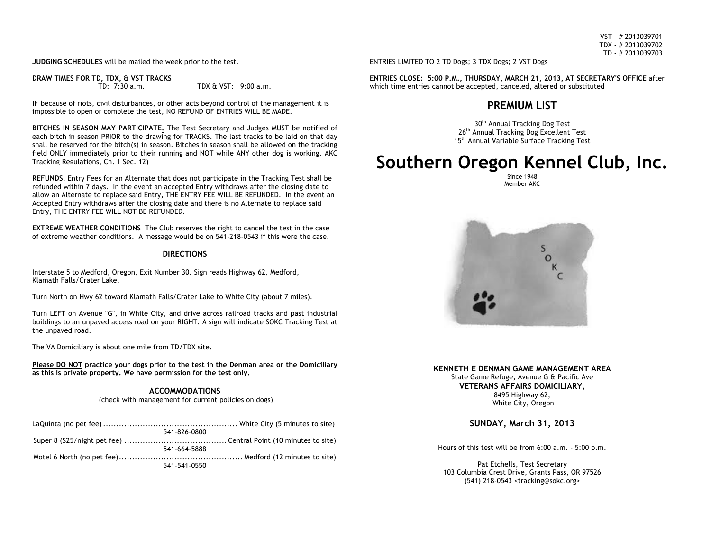VST - # 2013039701 TDX - # 2013039702 TD - # 2013039703

**JUDGING SCHEDULES** will be mailed the week prior to the test.

**DRAW TIMES FOR TD, TDX, & VST TRACKS**<br>TD: 7:30 a.m.

TDX  $6$  VST: 9:00 a.m.

**IF** because of riots, civil disturbances, or other acts beyond control of the management it is impossible to open or complete the test, NO REFUND OF ENTRIES WILL BE MADE.

**BITCHES IN SEASON MAY PARTICIPATE.** The Test Secretary and Judges MUST be notified of each bitch in season PRIOR to the drawing for TRACKS. The last tracks to be laid on that day shall be reserved for the bitch(s) in season. Bitches in season shall be allowed on the tracking field ONLY immediately prior to their running and NOT while ANY other dog is working. AKC Tracking Regulations, Ch. 1 Sec. 12)

**REFUNDS**. Entry Fees for an Alternate that does not participate in the Tracking Test shall be refunded within 7 days. In the event an accepted Entry withdraws after the closing date to allow an Alternate to replace said Entry, THE ENTRY FEE WILL BE REFUNDED. In the event an Accepted Entry withdraws after the closing date and there is no Alternate to replace said Entry, THE ENTRY FEE WILL NOT BE REFUNDED.

**EXTREME WEATHER CONDITIONS** The Club reserves the right to cancel the test in the case of extreme weather conditions. A message would be on 541-218-0543 if this were the case.

# **DIRECTIONS**

Interstate 5 to Medford, Oregon, Exit Number 30. Sign reads Highway 62, Medford, Klamath Falls/Crater Lake,

Turn North on Hwy 62 toward Klamath Falls/Crater Lake to White City (about 7 miles).

Turn LEFT on Avenue "G", in White City, and drive across railroad tracks and past industrial buildings to an unpaved access road on your RIGHT. A sign will indicate SOKC Tracking Test at the unpaved road.

The VA Domiciliary is about one mile from TD/TDX site.

**Please DO NOT practice your dogs prior to the test in the Denman area or the Domiciliary as this is private property. We have permission for the test only.**

> **ACCOMMODATIONS** (check with management for current policies on dogs)

| 541-826-0800 |  |
|--------------|--|
|              |  |
| 541-664-5888 |  |
|              |  |
| 541-541-0550 |  |

ENTRIES LIMITED TO 2 TD Dogs; 3 TDX Dogs; 2 VST Dogs

**ENTRIES CLOSE: 5:00 P.M., THURSDAY, MARCH 21, 2013, AT SECRETARY'S OFFICE** after which time entries cannot be accepted, canceled, altered or substituted

# **PREMIUM LIST**

30<sup>th</sup> Annual Tracking Dog Test 26<sup>th</sup> Annual Tracking Dog Excellent Test 15<sup>th</sup> Annual Variable Surface Tracking Test

# **Southern Oregon Kennel Club, Inc.**

Since 1948 Member AKC



# **KENNETH E DENMAN GAME MANAGEMENT AREA** State Game Refuge, Avenue G & Pacific Ave **VETERANS AFFAIRS DOMICILIARY,**

8495 Highway 62, White City, Oregon

**SUNDAY, March 31, 2013**

Hours of this test will be from 6:00 a.m. - 5:00 p.m.

Pat Etchells, Test Secretary 103 Columbia Crest Drive, Grants Pass, OR 97526 (541) 218-0543 <tracking@sokc.org>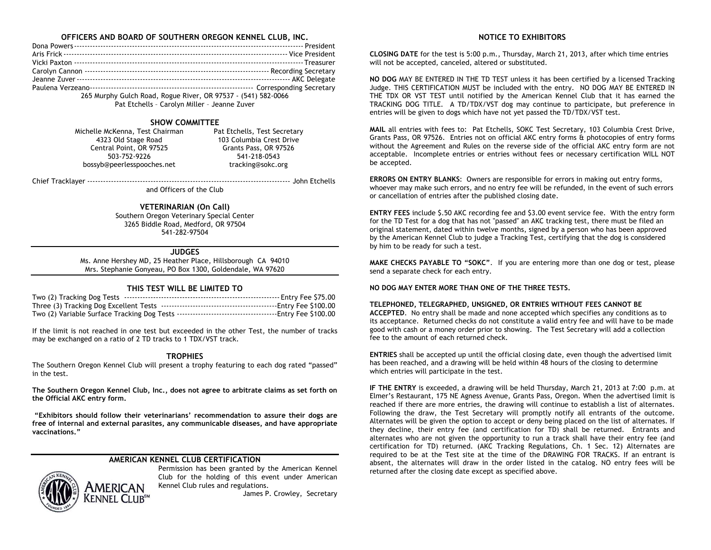# **OFFICERS AND BOARD OF SOUTHERN OREGON KENNEL CLUB, INC.**

| 265 Murphy Gulch Road, Rogue River, OR 97537 - (541) 582-0066 |  |
|---------------------------------------------------------------|--|

Pat Etchells – Carolyn Miller – Jeanne Zuver

# **SHOW COMMITTEE**

Michelle McKenna, Test Chairman Pat Etchells, Test Secretary<br>103 Columbia Crest Drive 103 2014 Stage Road Central Point, OR 97525 503-752-9226 541-218-0543 bossyb@peerlesspooches.net tracking@sokc.org

103 Columbia Crest Drive<br>Grants Pass, OR 97526

Chief Tracklayer ----------------------------------------------------------------------------- John Etchells

and Officers of the Club

# **VETERINARIAN (On Call)**

Southern Oregon Veterinary Special Center 3265 Biddle Road, Medford, OR 97504 541-282-97504

### **JUDGES**

Ms. Anne Hershey MD, 25 Heather Place, Hillsborough CA 94010 Mrs. Stephanie Gonyeau, PO Box 1300, Goldendale, WA 97620

# **THIS TEST WILL BE LIMITED TO**

If the limit is not reached in one test but exceeded in the other Test, the number of tracks may be exchanged on a ratio of 2 TD tracks to 1 TDX/VST track.

# **TROPHIES**

The Southern Oregon Kennel Club will present a trophy featuring to each dog rated "passed" in the test.

**The Southern Oregon Kennel Club, Inc., does not agree to arbitrate claims as set forth on the Official AKC entry form.**

**"Exhibitors should follow their veterinarians' recommendation to assure their dogs are free of internal and external parasites, any communicable diseases, and have appropriate vaccinations."**

# **AMERICAN KENNEL CLUB CERTIFICATION**



Permission has been granted by the American Kennel Club for the holding of this event under American Kennel Club rules and regulations.

James P. Crowley, Secretary

# **NOTICE TO EXHIBITORS**

**CLOSING DATE** for the test is 5:00 p.m., Thursday, March 21, 2013, after which time entries will not be accepted, canceled, altered or substituted.

**NO DOG** MAY BE ENTERED IN THE TD TEST unless it has been certified by a licensed Tracking Judge. THIS CERTIFICATION MUST be included with the entry. NO DOG MAY BE ENTERED IN THE TDX OR VST TEST until notified by the American Kennel Club that it has earned the TRACKING DOG TITLE. A TD/TDX/VST dog may continue to participate, but preference in entries will be given to dogs which have not yet passed the TD/TDX/VST test.

**MAIL** all entries with fees to: Pat Etchells, SOKC Test Secretary, 103 Columbia Crest Drive, Grants Pass, OR 97526. Entries not on official AKC entry forms & photocopies of entry forms without the Agreement and Rules on the reverse side of the official AKC entry form are not acceptable. Incomplete entries or entries without fees or necessary certification WILL NOT be accepted.

**ERRORS ON ENTRY BLANKS**: Owners are responsible for errors in making out entry forms, whoever may make such errors, and no entry fee will be refunded, in the event of such errors or cancellation of entries after the published closing date.

**ENTRY FEES** include \$.50 AKC recording fee and \$3.00 event service fee. With the entry form for the TD Test for a dog that has not "passed" an AKC tracking test, there must be filed an original statement, dated within twelve months, signed by a person who has been approved by the American Kennel Club to judge a Tracking Test, certifying that the dog is considered by him to be ready for such a test.

**MAKE CHECKS PAYABLE TO "SOKC"**. If you are entering more than one dog or test, please send a separate check for each entry.

# **NO DOG MAY ENTER MORE THAN ONE OF THE THREE TESTS.**

#### **TELEPHONED, TELEGRAPHED, UNSIGNED, OR ENTRIES WITHOUT FEES CANNOT BE**

**ACCEPTED**. No entry shall be made and none accepted which specifies any conditions as to its acceptance. Returned checks do not constitute a valid entry fee and will have to be made good with cash or a money order prior to showing. The Test Secretary will add a collection fee to the amount of each returned check.

**ENTRIES** shall be accepted up until the official closing date, even though the advertised limit has been reached, and a drawing will be held within 48 hours of the closing to determine which entries will participate in the test.

**IF THE ENTRY** is exceeded, a drawing will be held Thursday, March 21, 2013 at 7:00 p.m. at Elmer's Restaurant, 175 NE Agness Avenue, Grants Pass, Oregon. When the advertised limit is reached if there are more entries, the drawing will continue to establish a list of alternates. Following the draw, the Test Secretary will promptly notify all entrants of the outcome. Alternates will be given the option to accept or deny being placed on the list of alternates. If they decline, their entry fee (and certification for TD) shall be returned. Entrants and alternates who are not given the opportunity to run a track shall have their entry fee (and certification for TD) returned. (AKC Tracking Regulations, Ch. 1 Sec. 12) Alternates are required to be at the Test site at the time of the DRAWING FOR TRACKS. If an entrant is absent, the alternates will draw in the order listed in the catalog. NO entry fees will be returned after the closing date except as specified above.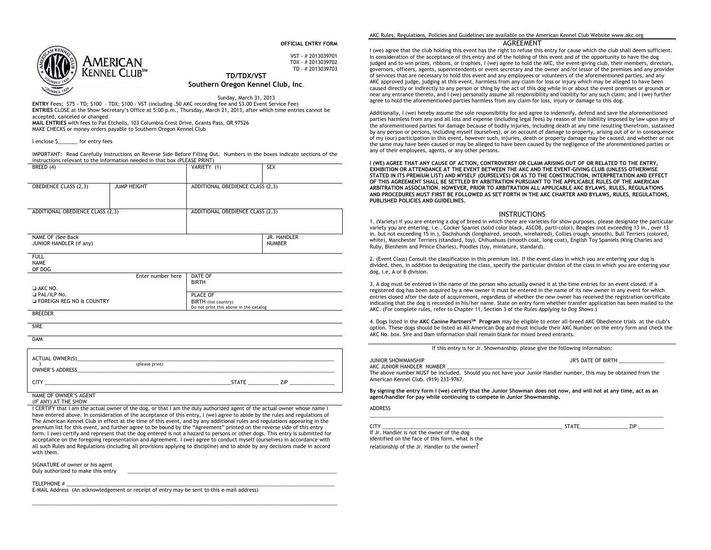**OFFICIAL ENTRY FORM**



VST - # 2013039701 TDX - # 2013039702 TD - # 2013039703 **TD/TDX/VST**

#### **Southern Oregon Kennel Club, Inc**.

Sunday, March 31, 2013 **ENTRY** Fees: \$75 - TD; \$100 - TDX; \$100 - VST (including .50 AKC recording fee and \$3.00 Event Service Fee) **ENTRIES** CLOSE at the Show Secretary's Office at 5:00 p.m., Thursday, March 21, 2013, after which time entries cannot be accepted, canceled or changed **MAIL ENTRIES** with fees to Pat Etchells, 103 Columbia Crest Drive, Grants Pass, OR 97526

MAKE CHECKS or money orders payable to Southern Oregon Kennel Club

I enclose S for entry fees

IMPORTANT: Read Carefully Instructions on Reverse Side Before Filling Out. Numbers in the boxes indicate sections of the instructions relevant to the information needed in that box (PLEASE PRINT)

| BREED (4)                                                                       |                    | VARIETY (1)                                                                | <b>SEX</b>                   |
|---------------------------------------------------------------------------------|--------------------|----------------------------------------------------------------------------|------------------------------|
| <b>OBEDIENCE CLASS (2,3)</b>                                                    | <b>JUMP HEIGHT</b> | ADDITIONAL OBEDIENCE CLASS (2,3)                                           |                              |
| ADDITIONAL OBEDIENCE CLASS (2,3)                                                |                    | ADDITIONAL OBEDIENCE CLASS (2,3)                                           |                              |
| NAME OF (See Back<br>JUNIOR HANDLER (if any)                                    |                    |                                                                            | JR. HANDLER<br><b>NUMBER</b> |
| <b>FULL</b><br><b>NAME</b><br>OF DOG                                            |                    |                                                                            |                              |
|                                                                                 | Enter number here  | DATE OF<br><b>BIRTH</b>                                                    |                              |
| $\Box$ AKC NO.<br><b>D</b> PAL/ILP No.<br><b>E FOREIGN REG NO &amp; COUNTRY</b> |                    | PLACE OF<br>BIRTH (list country)<br>Do not print this above in the catalog |                              |
| <b>BREEDER</b>                                                                  |                    |                                                                            |                              |
| <b>SIRF</b>                                                                     |                    |                                                                            |                              |

DAM

| <b>ACTUAL OWNER(S)</b><br><b>OWNER'S ADDRESS</b> | (please print) |              |            |  |
|--------------------------------------------------|----------------|--------------|------------|--|
|                                                  |                | <b>STATE</b> | <b>71P</b> |  |

#### NAME OF OWNER'S AGENT

(IF ANY) AT THE SHOW

I CERTIFY that I am the actual owner of the dog, or that I am the duly authorized agent of the actual owner whose name I have entered above. In consideration of the acceptance of this entry, I (we) agree to abide by the rules and regulations of The American Kennel Club in effect at the time of this event, and by any additional rules and regulations appearing in the premium list for this event, and further agree to be bound by the "Agreement" printed on the reverse side of this entry form. I (we) certify and represent that the dog entered is not a hazard to persons or other dogs. This entry is submitted for acceptance on the foregoing representation and Agreement. I (we) agree to conduct myself (ourselves) in accordance with all such Rules and Regulations (including all provisions applying to discipline) and to abide by any decisions made in accord with them.

\_\_\_\_\_\_\_\_\_\_\_\_\_\_\_\_\_\_\_\_\_\_\_\_\_\_\_\_\_\_\_\_\_\_\_\_\_\_\_\_\_\_\_\_\_\_\_\_\_\_\_\_\_\_\_\_\_\_\_\_\_\_\_\_\_\_\_\_\_\_\_\_\_\_\_\_\_\_\_\_\_\_\_\_\_\_\_\_\_\_\_\_\_\_\_\_\_\_\_\_\_\_\_\_\_\_\_\_

SIGNATURE of owner or his agent Duly authorized to make this entry

TELEPHONE # \_\_\_\_\_\_\_\_\_\_\_\_\_\_\_\_\_\_\_\_\_\_\_\_\_\_\_\_\_\_\_\_\_\_\_\_\_\_\_\_\_\_\_\_\_\_\_\_\_\_\_\_\_\_\_\_\_\_\_\_\_\_\_\_\_\_\_\_\_\_\_\_\_\_\_\_\_\_\_\_\_\_\_\_\_\_\_\_\_\_\_\_\_\_\_

E-MAIL Address (An acknowledgement or receipt of entry may be sent to this e-mail address)

#### AKC Rules, Regulations, Policies and Guidelines are available on the American Kennel Club Website www.akc.org

#### AGREEMENT

I (we) agree that the club holding this event has the right to refuse this entry for cause which the club shall deem sufficient. In consideration of the acceptance of this entry and of the holding of this event and of the opportunity to have the dog judged and to win prizes, ribbons, or trophies, I (we) agree to hold the AKC, the event-giving club, their members, directors, governors, officers, agents, superintendents or event secretary and the owner and/or lessor of the premises and any provider of services that are necessary to hold this event and any employees or volunteers of the aforementioned parties, and any AKC approved judge, judging at this event, harmless from any claim for loss or injury which may be alleged to have been caused directly or indirectly to any person or thing by the act of this dog while in or about the event premises or grounds or near any entrance thereto, and I (we) personally assume all responsibility and liability for any such claim; and I (we) further agree to hold the aforementioned parties harmless from any claim for loss, injury or damage to this dog.

Additionally, I (we) hereby assume the sole responsibility for and agree to indemnify, defend and save the aforementioned parties harmless from any and all loss and expense (including legal fees) by reason of the liability imposed by law upon any of the aforementioned parties for damage because of bodily injuries, including death at any time resulting therefrom, sustained by any person or persons, including myself (ourselves), or on account of damage to property, arising out of or in consequence of my (our) participation in this event, however such, injuries, death or property damage may be caused, and whether or not the same may have been caused or may be alleged to have been caused by the negligence of the aforementioned parties or any of their employees, agents, or any other persons.

**I (WE) AGREE THAT ANY CAUSE OF ACTION, CONTROVERSY OR CLAIM ARISING OUT OF OR RELATED TO THE ENTRY, EXHIBITION OR ATTENDANCE AT THE EVENT BETWEEN THE AKC AND THE EVENT-GIVING CLUB (UNLESS OTHERWISE STATED IN ITS PREMIUM LIST) AND MYSELF (OURSELVES) OR AS TO THE CONSTRUCTION, INTERPRETATION AND EFFECT OF THIS AGREEMENT SHALL BE SETTLED BY ARBITRATION PURSUANT TO THE APPLICABLE RULES OF THE AMERICAN ARBITRATION ASSOCIATION. HOWEVER, PRIOR TO ARBITRATION ALL APPLICABLE AKC BYLAWS, RULES, REGULATIONS AND PROCEDURES MUST FIRST BE FOLLOWED AS SET FORTH IN THE AKC CHARTER AND BYLAWS, RULES, REGULATIONS, PUBLISHED POLICIES AND GUIDELINES.** 

#### **INSTRUCTIONS**

1. (Variety) if you are entering a dog of breed in which there are varieties for show purposes, please designate the particular variety you are entering, i.e., Cocker Spaniel (solid color black, ASCOB, parti-color), Beagles (not exceeding 13 in., over 13 in. but not exceeding 15 in.), Dachshunds (longhaired, smooth, wirehaired), Collies (rough, smooth), Bull Terriers (colored, white), Manchester Terriers (standard, toy), Chihuahuas (smooth coat, long coat), English Toy Spaniels (King Charles and Ruby, Blenheim and Prince Charles), Poodles (toy, miniature, standard).

2. (Event Class) Consult the classification in this premium list. If the event class in which you are entering your dog is divided, then, in addition to designating the class, specify the particular division of the class in which you are entering your dog, i.e, A or B division.

3. A dog must be entered in the name of the person who actually owned it at the time entries for an event closed. If a registered dog has been acquired by a new owner it must be entered in the name of its new owner in any event for which entries closed after the date of acquirement, regardless of whether the new owner has received the registration certificate indicating that the dog is recorded in his/her name. State on entry form whether transfer application has been mailed to the AKC. (For complete rules, refer to Chapter 11, Section 3 of the *Rules Applying to Dog Shows*.)

4. Dogs listed in the **AKC Canine PartnersSM Program** may be eligible to enter all-breed AKC Obedience trials at the club's option. These dogs should be listed as All American Dog and must include their AKC Number on the entry form and check the AKC No. box. Sire and Dam information shall remain blank for mixed breed entrants.

| If this entry is for Jr. Showmanship, please give the following information: |  |
|------------------------------------------------------------------------------|--|
|------------------------------------------------------------------------------|--|

JUNIOR SHOWMANSHIP JR'S DATE OF BIRTH \_\_\_\_\_\_\_\_\_\_\_\_\_\_\_\_ AKC JUNIOR HANDLER NUMBER The above number MUST be included. Should you not have your Junior Handler number, this may be obtained from the American Kennel Club. (919) 233-9767.

**By signing the entry form I (we) certify that the Junior Showman does not now, and will not at any time, act as an agent/handler for pay while continuing to compete in Junior Showmanship.** 

#### ADDRESS

\_\_\_\_\_\_\_\_\_\_\_\_\_\_\_\_\_\_\_\_\_\_\_\_\_\_\_\_\_\_\_\_\_\_\_\_\_\_\_\_\_\_\_\_\_\_\_\_\_\_\_\_\_\_\_\_\_\_\_\_\_\_\_\_\_\_\_\_\_\_\_\_\_\_\_\_\_\_\_\_\_\_\_\_\_\_\_\_\_\_\_\_\_\_\_\_\_\_\_\_\_\_\_\_

If Jr. Handler is not the owner of the dog identified on the face of this form, what is the relationship of the Jr. Handler to the owner?

CITY \_\_\_\_\_\_\_\_\_\_\_\_\_\_\_\_\_\_\_\_\_\_\_\_\_\_\_\_\_\_\_\_\_\_\_\_\_\_\_\_\_\_\_\_\_\_\_\_\_\_\_\_\_\_\_\_\_\_\_\_\_\_\_\_ STATE\_\_\_\_\_\_\_\_\_\_\_\_\_\_\_\_\_ ZIP \_\_\_\_\_\_\_\_\_